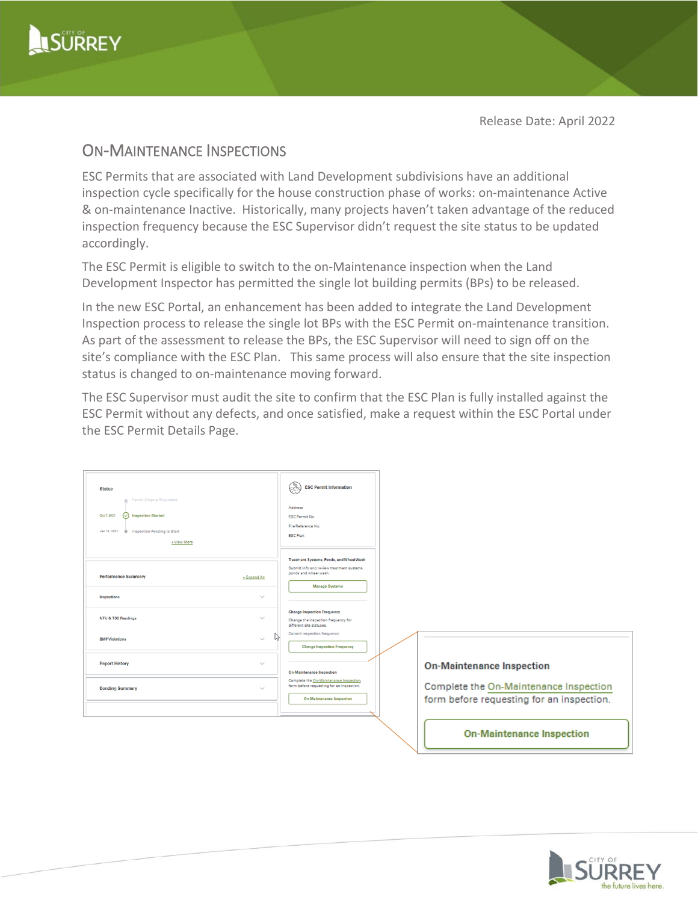

Release Date: April 2022

## ON-MAINTENANCE INSPECTIONS

ESC Permits that are associated with Land Development subdivisions have an additional inspection cycle specifically for the house construction phase of works: on-maintenance Active & on-maintenance Inactive. Historically, many projects haven't taken advantage of the reduced inspection frequency because the ESC Supervisor didn't request the site status to be updated accordingly.

The ESC Permit is eligible to switch to the on-Maintenance inspection when the Land Development Inspector has permitted the single lot building permits (BPs) to be released.

In the new ESC Portal, an enhancement has been added to integrate the Land Development Inspection process to release the single lot BPs with the ESC Permit on-maintenance transition. As part of the assessment to release the BPs, the ESC Supervisor will need to sign off on the site's compliance with the ESC Plan. This same process will also ensure that the site inspection status is changed to on-maintenance moving forward.

The ESC Supervisor must audit the site to confirm that the ESC Plan is fully installed against the ESC Permit without any defects, and once satisfied, make a request within the ESC Portal under the ESC Permit Details Page.

| <b>Status</b><br>Permit Closure Requested<br>$\circ$ Inspection Started<br>Oct 7, 2021<br>Inspection Pending to Start<br>Jan 14, 2021<br>$\bullet$<br>+View More | $\mathbb{R}^3$<br><b>ESC Permit Information</b><br>Address<br><b>ESC Permit No.</b><br>File/Reference No.<br><b>ESC Plan</b>     |                                                                                     |
|------------------------------------------------------------------------------------------------------------------------------------------------------------------|----------------------------------------------------------------------------------------------------------------------------------|-------------------------------------------------------------------------------------|
| <b>Performance Summary</b><br>+ Expand All                                                                                                                       | Treatment Systems, Ponds, and Wheel Wash<br>Submit info and review treatment systems.<br>ponds and wheel wash.<br>Manage Systems |                                                                                     |
| $\checkmark$<br>Inspections                                                                                                                                      |                                                                                                                                  |                                                                                     |
| <b>NTU &amp; TSS Readings</b><br>$\checkmark$                                                                                                                    | <b>Change Inspection Frequency</b><br>Change the inspection frequency for<br>different site statuses.                            |                                                                                     |
| <b>BMP</b> Violations<br>$\checkmark$                                                                                                                            | Current inspection frequency<br>Ľ,<br><b>Change Inspection Frequency</b>                                                         |                                                                                     |
| <b>Report History</b><br>$\checkmark$                                                                                                                            | <b>On-Maintenance Inspection</b>                                                                                                 | <b>On-Maintenance Inspection</b>                                                    |
| <b>Bonding Summary</b><br>$\checkmark$                                                                                                                           | Complete the On-Maintenance Inspection<br>form before requesting for an inspection.<br><b>On-Maintenance Inspection</b>          | Complete the On-Maintenance Inspection<br>form before requesting for an inspection. |
|                                                                                                                                                                  |                                                                                                                                  |                                                                                     |
|                                                                                                                                                                  |                                                                                                                                  | <b>On-Maintenance Inspection</b>                                                    |